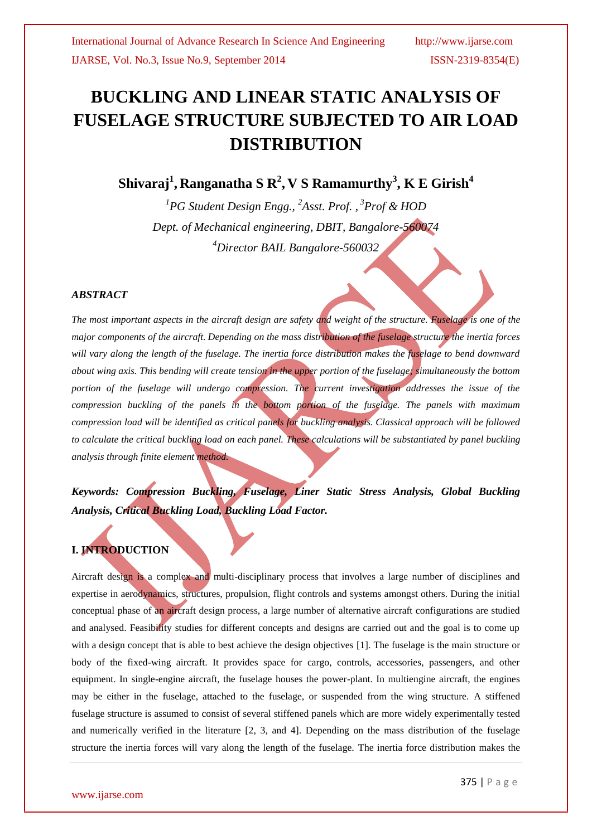# **BUCKLING AND LINEAR STATIC ANALYSIS OF FUSELAGE STRUCTURE SUBJECTED TO AIR LOAD DISTRIBUTION**

**Shivaraj<sup>1</sup> , Ranganatha S R<sup>2</sup> , V S Ramamurthy<sup>3</sup> , K E Girish<sup>4</sup>**

<sup>1</sup>PG Student Design Engg., <sup>2</sup>Asst. Prof., <sup>3</sup>Prof & HOD *Dept. of Mechanical engineering, DBIT, Bangalore-560074 <sup>4</sup>Director BAIL Bangalore-560032*

## *ABSTRACT*

*The most important aspects in the aircraft design are safety and weight of the structure. Fuselage is one of the major components of the aircraft. Depending on the mass distribution of the fuselage structure the inertia forces will vary along the length of the fuselage. The inertia force distribution makes the fuselage to bend downward about wing axis. This bending will create tension in the upper portion of the fuselage; simultaneously the bottom*  portion of the fuselage will undergo compression. The current investigation addresses the issue of the *compression buckling of the panels in the bottom portion of the fuselage. The panels with maximum compression load will be identified as critical panels for buckling analysis. Classical approach will be followed to calculate the critical buckling load on each panel. These calculations will be substantiated by panel buckling analysis through finite element method.*

*Keywords: Compression Buckling, Fuselage, Liner Static Stress Analysis, Global Buckling Analysis, Critical Buckling Load, Buckling Load Factor.* 

## **I. INTRODUCTION**

Aircraft design is a complex and multi-disciplinary process that involves a large number of disciplines and expertise in aerodynamics, structures, propulsion, flight controls and systems amongst others. During the initial conceptual phase of an aircraft design process, a large number of alternative aircraft configurations are studied and analysed. Feasibility studies for different concepts and designs are carried out and the goal is to come up with a design concept that is able to best achieve the design objectives [1]. The fuselage is the main structure or body of the fixed-wing aircraft. It provides space for cargo, controls, accessories, passengers, and other equipment. In single-engine aircraft, the fuselage houses the power-plant. In multiengine aircraft, the engines may be either in the fuselage, attached to the fuselage, or suspended from the wing structure. A stiffened fuselage structure is assumed to consist of several stiffened panels which are more widely experimentally tested and numerically verified in the literature [2, 3, and 4]. Depending on the mass distribution of the fuselage structure the inertia forces will vary along the length of the fuselage. The inertia force distribution makes the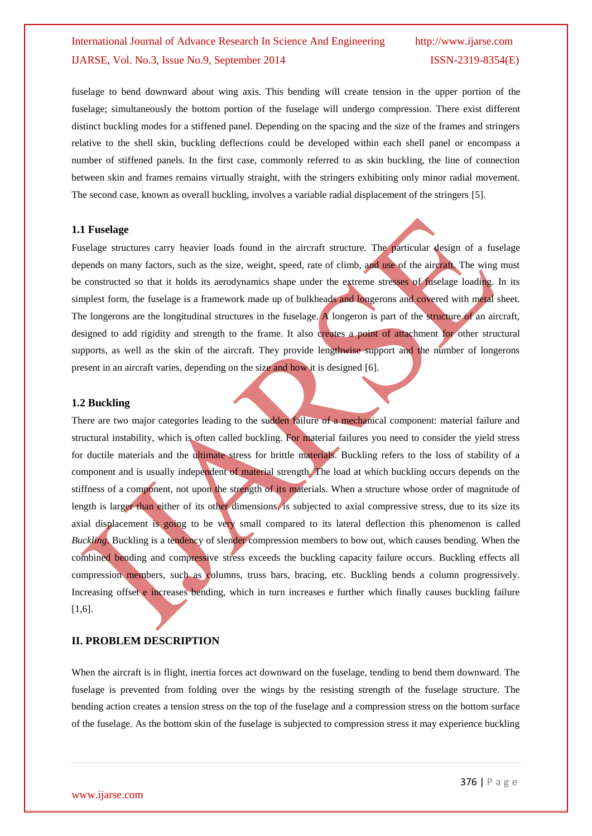fuselage to bend downward about wing axis. This bending will create tension in the upper portion of the fuselage; simultaneously the bottom portion of the fuselage will undergo compression. There exist different distinct buckling modes for a stiffened panel. Depending on the spacing and the size of the frames and stringers relative to the shell skin, buckling deflections could be developed within each shell panel or encompass a number of stiffened panels. In the first case, commonly referred to as skin buckling, the line of connection between skin and frames remains virtually straight, with the stringers exhibiting only minor radial movement. The second case, known as overall buckling, involves a variable radial displacement of the stringers [5].

#### **1.1 Fuselage**

Fuselage structures carry heavier loads found in the aircraft structure. The particular design of a fuselage depends on many factors, such as the size, weight, speed, rate of climb, and use of the aircraft. The wing must be constructed so that it holds its aerodynamics shape under the extreme stresses of fuselage loading. In its simplest form, the fuselage is a framework made up of bulkheads and longerons and covered with metal sheet. The longerons are the longitudinal structures in the fuselage. A longeron is part of the structure of an aircraft, designed to add rigidity and strength to the frame. It also creates a point of attachment for other structural supports, as well as the skin of the aircraft. They provide lengthwise support and the number of longerons present in an aircraft varies, depending on the size and how it is designed [6].

#### **1.2 Buckling**

There are two major categories leading to the sudden failure of a mechanical component: material failure and structural instability, which is often called buckling. For material failures you need to consider the yield stress for ductile materials and the ultimate stress for brittle materials. Buckling refers to the loss of stability of a component and is usually independent of material strength. The load at which buckling occurs depends on the stiffness of a component, not upon the strength of its materials. When a structure whose order of magnitude of length is larger than either of its other dimensions, is subjected to axial compressive stress, due to its size its axial displacement is going to be very small compared to its lateral deflection this phenomenon is called *Buckling*. Buckling is a tendency of slender compression members to bow out, which causes bending. When the combined bending and compressive stress exceeds the buckling capacity failure occurs. Buckling effects all compression members, such as columns, truss bars, bracing, etc. Buckling bends a column progressively. Increasing offset e increases bending, which in turn increases e further which finally causes buckling failure [1,6].

#### **II. PROBLEM DESCRIPTION**

When the aircraft is in flight, inertia forces act downward on the fuselage, tending to bend them downward. The fuselage is prevented from folding over the wings by the resisting strength of the fuselage structure. The bending action creates a tension stress on the top of the fuselage and a compression stress on the bottom surface of the fuselage. As the bottom skin of the fuselage is subjected to compression stress it may experience buckling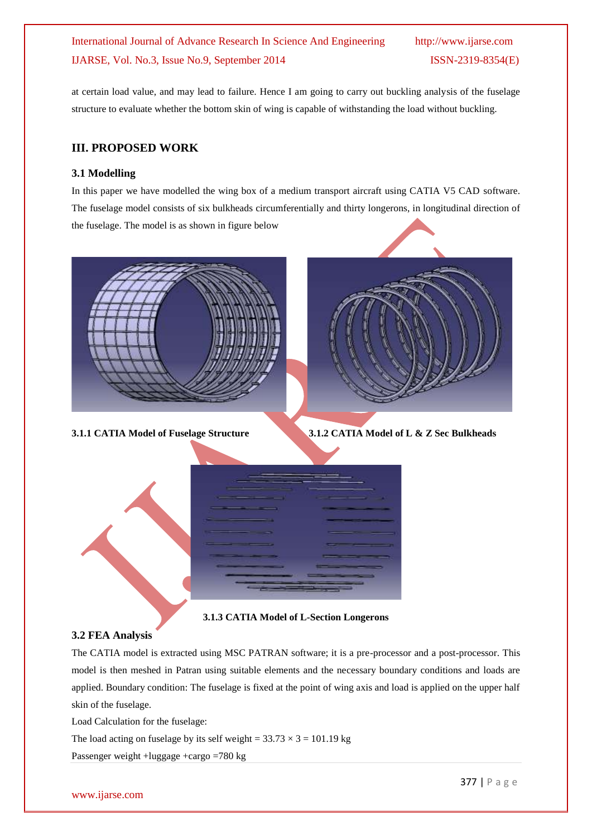at certain load value, and may lead to failure. Hence I am going to carry out buckling analysis of the fuselage structure to evaluate whether the bottom skin of wing is capable of withstanding the load without buckling.

## **III. PROPOSED WORK**

#### **3.1 Modelling**

In this paper we have modelled the wing box of a medium transport aircraft using CATIA V5 CAD software. The fuselage model consists of six bulkheads circumferentially and thirty longerons, in longitudinal direction of the fuselage. The model is as shown in figure below





**3.1.1 CATIA Model of Fuselage Structure 3.1.2 CATIA Model of L & Z Sec Bulkheads**



**3.1.3 CATIA Model of L-Section Longerons**

## **3.2 FEA Analysis**

The CATIA model is extracted using MSC PATRAN software; it is a pre-processor and a post-processor. This model is then meshed in Patran using suitable elements and the necessary boundary conditions and loads are applied. Boundary condition: The fuselage is fixed at the point of wing axis and load is applied on the upper half skin of the fuselage.

Load Calculation for the fuselage:

The load acting on fuselage by its self weight =  $33.73 \times 3 = 101.19$  kg

Passenger weight +luggage +cargo =780 kg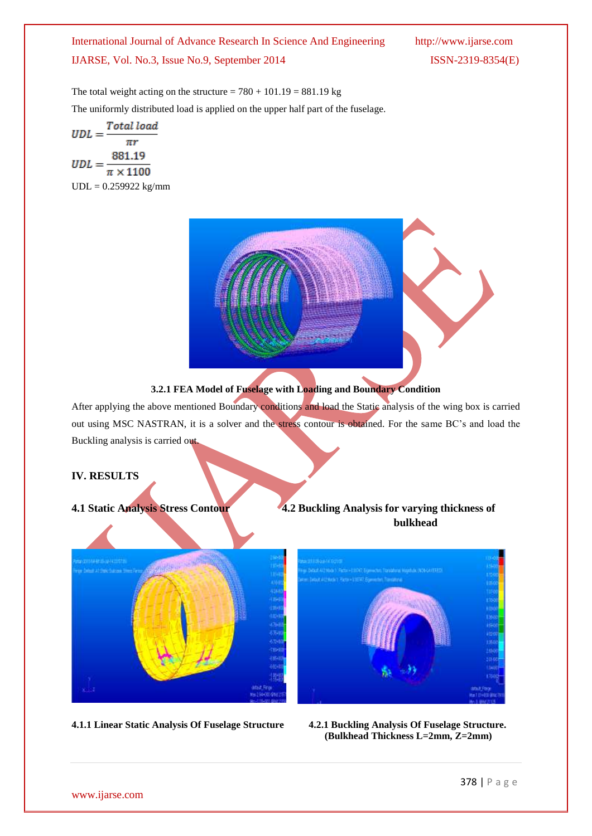The total weight acting on the structure =  $780 + 101.19 = 881.19$  kg The uniformly distributed load is applied on the upper half part of the fuselage.

$$
UDL = \frac{Total load}{\pi r}
$$

$$
UDL = \frac{881.19}{\pi \times 1100}
$$

$$
UDL = 0.259922 \text{ kg/mm}
$$





After applying the above mentioned Boundary conditions and load the Static analysis of the wing box is carried out using MSC NASTRAN, it is a solver and the stress contour is obtained. For the same BC's and load the Buckling analysis is carried out.

## **IV. RESULTS**



## **4.1 Static Analysis Stress Contour 4.2 Buckling Analysis for varying thickness of bulkhead**



**4.1.1 Linear Static Analysis Of Fuselage Structure 4.2.1 Buckling Analysis Of Fuselage Structure. (Bulkhead Thickness L=2mm, Z=2mm)**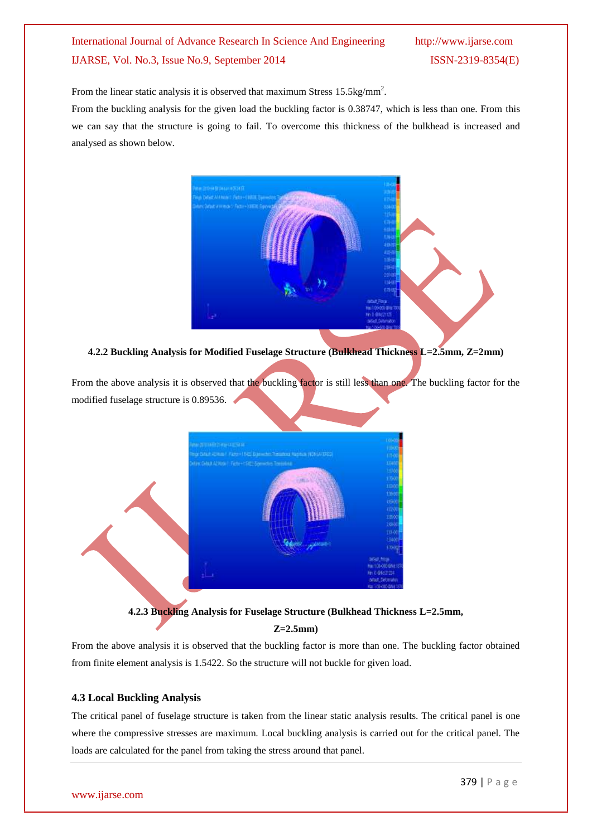From the linear static analysis it is observed that maximum Stress  $15.5 \text{kg/mm}^2$ .

From the buckling analysis for the given load the buckling factor is 0.38747, which is less than one. From this we can say that the structure is going to fail. To overcome this thickness of the bulkhead is increased and analysed as shown below.



**4.2.2 Buckling Analysis for Modified Fuselage Structure (Bulkhead Thickness L=2.5mm, Z=2mm)**

From the above analysis it is observed that the buckling factor is still less than one. The buckling factor for the modified fuselage structure is 0.89536.

| WWW.DEFENSEERING INTERNATIONAL<br>Egribitus Abkola I Paten I SAS Basedes Resultant Haptus (109 SAFERE) |           | <b>WA</b><br>$100$                                                                            |
|--------------------------------------------------------------------------------------------------------|-----------|-----------------------------------------------------------------------------------------------|
| Detro Dela ADRIA   Fichie-1942 Edward of Torontag                                                      |           | $\begin{array}{l} 1770 \\ 37400 \\ \hline 77500 \end{array}$                                  |
|                                                                                                        |           |                                                                                               |
|                                                                                                        |           | 1740                                                                                          |
|                                                                                                        |           | 1360                                                                                          |
|                                                                                                        |           | <b>Divid</b>                                                                                  |
|                                                                                                        |           | 1000<br>1800<br>1900<br>1900                                                                  |
|                                                                                                        |           |                                                                                               |
|                                                                                                        |           |                                                                                               |
|                                                                                                        | ни привет |                                                                                               |
|                                                                                                        |           | \$70.00                                                                                       |
| ×.<br>$\pm \Box$                                                                                       |           | alat.hai.<br>Nat 100-000 GN/L107<br>Ph 0-04421234<br>datast, Deteration<br>Har TONYOD DAILYST |

**4.2.3 Buckling Analysis for Fuselage Structure (Bulkhead Thickness L=2.5mm, Z=2.5mm)**

From the above analysis it is observed that the buckling factor is more than one. The buckling factor obtained from finite element analysis is 1.5422. So the structure will not buckle for given load.

## **4.3 Local Buckling Analysis**

The critical panel of fuselage structure is taken from the linear static analysis results. The critical panel is one where the compressive stresses are maximum. Local buckling analysis is carried out for the critical panel. The loads are calculated for the panel from taking the stress around that panel.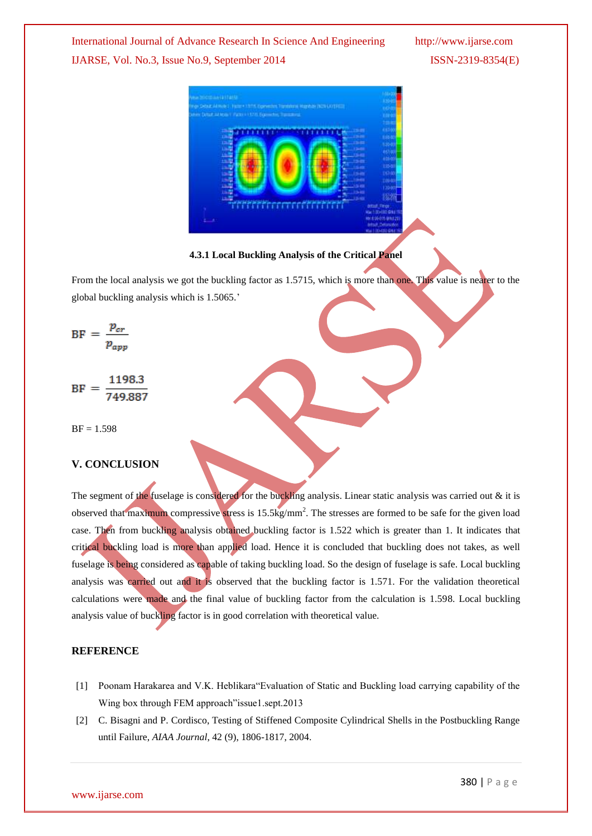

## **4.3.1 Local Buckling Analysis of the Critical Panel**

From the local analysis we got the buckling factor as 1.5715, which is more than one. This value is nearer to the global buckling analysis which is 1.5065.'

$$
BF = \frac{p_{cr}}{p_{app}}
$$

1198.3  $BF =$ 

 $BF = 1.598$ 

## **V. CONCLUSION**

The segment of the fuselage is considered for the buckling analysis. Linear static analysis was carried out & it is observed that maximum compressive stress is 15.5kg/mm<sup>2</sup>. The stresses are formed to be safe for the given load case. Then from buckling analysis obtained buckling factor is 1.522 which is greater than 1. It indicates that critical buckling load is more than applied load. Hence it is concluded that buckling does not takes, as well fuselage is being considered as capable of taking buckling load. So the design of fuselage is safe. Local buckling analysis was carried out and it is observed that the buckling factor is 1.571. For the validation theoretical calculations were made and the final value of buckling factor from the calculation is 1.598. Local buckling analysis value of buckling factor is in good correlation with theoretical value.

#### **REFERENCE**

- [1] Poonam Harakarea and V.K. Heblikara"Evaluation of Static and Buckling load carrying capability of the Wing box through FEM approach"issue1.sept.2013
- [2] C. Bisagni and P. Cordisco, Testing of Stiffened Composite Cylindrical Shells in the Postbuckling Range until Failure, *AIAA Journal*, 42 (9), 1806-1817, 2004.